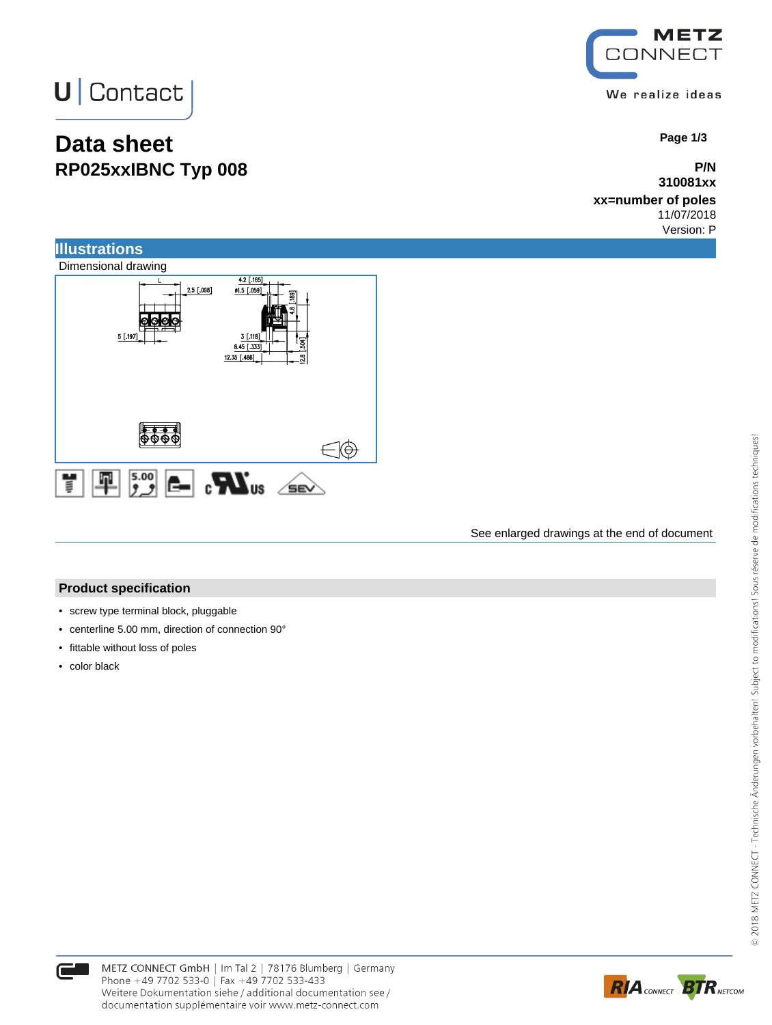# **U** Contact

### **Data sheet RP025xxIBNC Typ 008**

METZ **CONNECT** We realize ideas

 **Page 1/3**

**P/N 310081xx**

**xx=number of poles** 11/07/2018 Version: P



#### See enlarged drawings at the end of document

#### **Product specification**

- screw type terminal block, pluggable
- centerline 5.00 mm, direction of connection 90°
- fittable without loss of poles
- color black



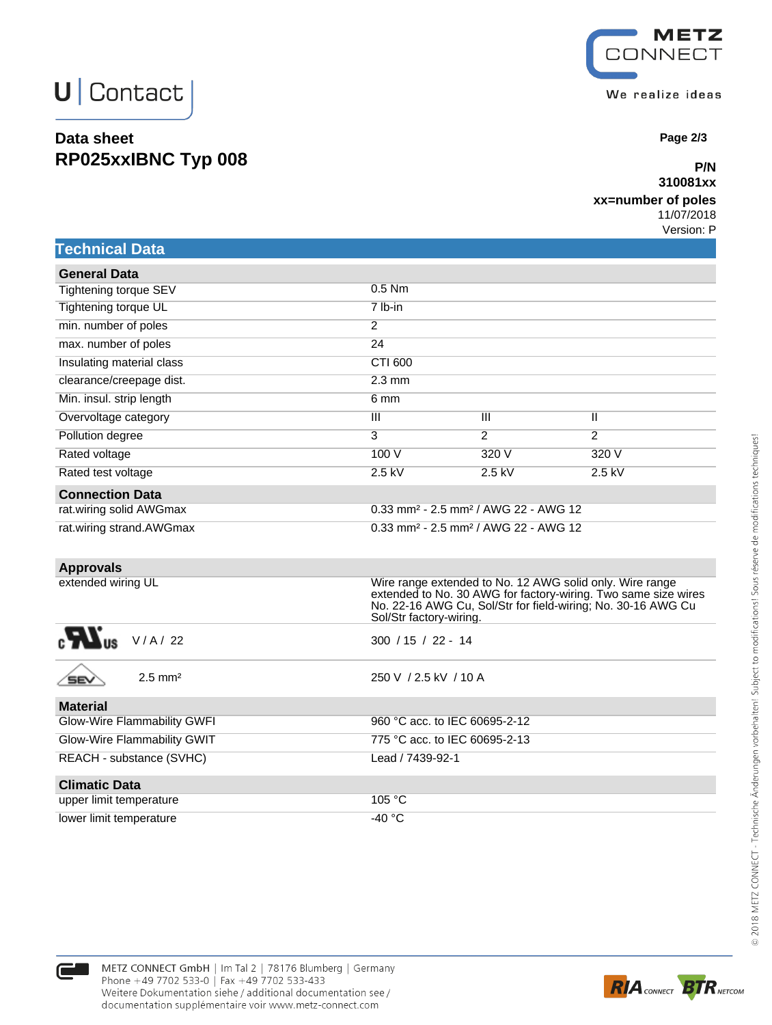## **U** Contact

### **Data sheet RP025xxIBNC Typ 008**



 **Page 2/3**

#### **P/N 310081xx**

#### **xx=number of poles**

11/07/2018 Version: P

|  | <b>Technical Data</b> |
|--|-----------------------|
|  |                       |
|  |                       |

| <b>General Data</b>       |                  |                                                                |                |
|---------------------------|------------------|----------------------------------------------------------------|----------------|
| Tightening torque SEV     | $0.5$ Nm         |                                                                |                |
| Tightening torque UL      | 7 lb-in          |                                                                |                |
| min. number of poles      | $\overline{2}$   |                                                                |                |
| max. number of poles      | 24               |                                                                |                |
| Insulating material class | CTI 600          |                                                                |                |
| clearance/creepage dist.  | $2.3 \text{ mm}$ |                                                                |                |
| Min. insul. strip length  | 6 mm             |                                                                |                |
| Overvoltage category      | Ш                | $\overline{\mathsf{III}}$                                      | Ш              |
| Pollution degree          | 3                | 2                                                              | $\overline{2}$ |
| Rated voltage             | 100 V            | 320 V                                                          | 320 V          |
| Rated test voltage        | $2.5$ kV         | $2.5$ kV                                                       | $2.5$ kV       |
| <b>Connection Data</b>    |                  |                                                                |                |
| rat.wiring solid AWGmax   |                  | $0.33$ mm <sup>2</sup> - 2.5 mm <sup>2</sup> / AWG 22 - AWG 12 |                |
| rat.wiring strand.AWGmax  |                  | $0.33$ mm <sup>2</sup> - 2.5 mm <sup>2</sup> / AWG 22 - AWG 12 |                |

| <b>Approvals</b>            |                                                                                                                                                                                                                       |
|-----------------------------|-----------------------------------------------------------------------------------------------------------------------------------------------------------------------------------------------------------------------|
| extended wiring UL          | Wire range extended to No. 12 AWG solid only. Wire range<br>extended to No. 30 AWG for factory-wiring. Two same size wires<br>No. 22-16 AWG Cu, Sol/Str for field-wiring; No. 30-16 AWG Cu<br>Sol/Str factory-wiring. |
| V/A/22                      | $300 / 15 / 22 - 14$                                                                                                                                                                                                  |
| $2.5$ mm <sup>2</sup>       | 250 V / 2.5 kV / 10 A                                                                                                                                                                                                 |
| <b>Material</b>             |                                                                                                                                                                                                                       |
| Glow-Wire Flammability GWFI | 960 °C acc. to IEC 60695-2-12                                                                                                                                                                                         |
| Glow-Wire Flammability GWIT | 775 °C acc. to IEC 60695-2-13                                                                                                                                                                                         |
| REACH - substance (SVHC)    | Lead / 7439-92-1                                                                                                                                                                                                      |
| <b>Climatic Data</b>        |                                                                                                                                                                                                                       |
| upper limit temperature     | 105 °C                                                                                                                                                                                                                |



lower limit temperature  $-40 °C$